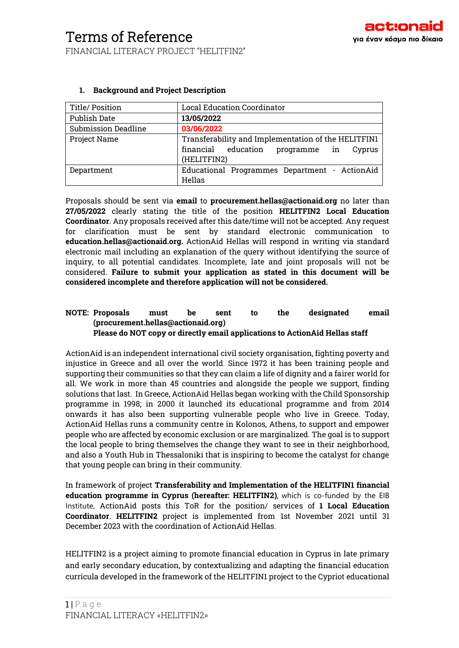| Title/ Position            | <b>Local Education Coordinator</b>                  |  |  |
|----------------------------|-----------------------------------------------------|--|--|
| Publish Date               | 13/05/2022                                          |  |  |
| <b>Submission Deadline</b> | 03/06/2022                                          |  |  |
| Project Name               | Transferability and Implementation of the HELITFIN1 |  |  |
|                            | financial education<br>programme in<br>Cyprus       |  |  |
|                            | (HELITFIN2)                                         |  |  |
| Department                 | Educational Programmes Department - ActionAid       |  |  |
|                            | Hellas                                              |  |  |

### **1. Background and Project Description**

Proposals should be sent via **email** to **procurement.hellas@actionaid.org** no later than **27/05/2022** clearly stating the title of the position **HELITFIN2 Local Education Coordinator**. Any proposals received after this date/time will not be accepted. Any request for clarification must be sent by standard electronic communication to **education.hellas@actionaid.org.** ActionAid Hellas will respond in writing via standard electronic mail including an explanation of the query without identifying the source of inquiry, to all potential candidates. Incomplete, late and joint proposals will not be considered. **Failure to submit your application as stated in this document will be considered incomplete and therefore application will not be considered.**

#### **NOTE: Proposals must be sent to the designated email (procurement.hellas@actionaid.org) Please do NOT copy or directly email applications to ActionAid Hellas staff**

ActionAid is an independent international civil society organisation, fighting poverty and injustice in Greece and all over the world. Since 1972 it has been training people and supporting their communities so that they can claim a life of dignity and a fairer world for all. We work in more than 45 countries and alongside the people we support, finding solutions that last. In Greece, ActionAid Hellas began working with the Child Sponsorship programme in 1998; in 2000 it launched its educational programme and from 2014 onwards it has also been supporting vulnerable people who live in Greece. Today, ActionAid Hellas runs a community centre in Kolonos, Athens, to support and empower people who are affected by economic exclusion or are marginalized. The goal is to support the local people to bring themselves the change they want to see in their neighborhood, and also a Youth Hub in Thessaloniki that is inspiring to become the catalyst for change that young people can bring in their community.

In framework of project **Transferability and Implementation of the HELITFIN1 financial education programme in Cyprus (hereafter: HELITFIN2)**, which is co-funded by the EIB Institute, ActionAid posts this ToR for the position/ services of **1 Local Education Coordinator**. **HELITFIN2** project is implemented from 1st November 2021 until 31 December 2023 with the coordination of ActionAid Hellas.

HELITFIN2 is a project aiming to promote financial education in Cyprus in late primary and early secondary education, by contextualizing and adapting the financial education curricula developed in the framework of the HELITFIN1 project to the Cypriot educational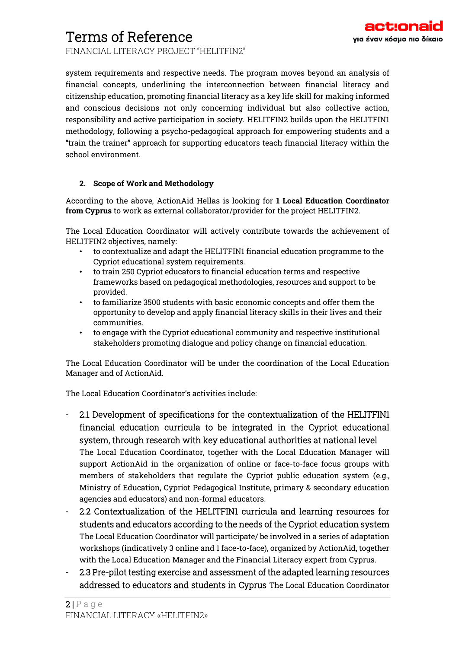FINANCIAL LITERACY PROJECT "HELITFIN2"

system requirements and respective needs. The program moves beyond an analysis of financial concepts, underlining the interconnection between financial literacy and citizenship education, promoting financial literacy as a key life skill for making informed and conscious decisions not only concerning individual but also collective action, responsibility and active participation in society. HELITFIN2 builds upon the HELITFIN1 methodology, following a psycho-pedagogical approach for empowering students and a "train the trainer" approach for supporting educators teach financial literacy within the school environment.

### **2. Scope of Work and Methodology**

According to the above, ActionAid Hellas is looking for **1 Local Education Coordinator from Cyprus** to work as external collaborator/provider for the project HELITFIN2.

The Local Education Coordinator will actively contribute towards the achievement of HELITFIN2 objectives, namely:

- to contextualize and adapt the HELITFIN1 financial education programme to the Cypriot educational system requirements.
- to train 250 Cypriot educators to financial education terms and respective frameworks based on pedagogical methodologies, resources and support to be provided.
- to familiarize 3500 students with basic economic concepts and offer them the opportunity to develop and apply financial literacy skills in their lives and their communities.
- to engage with the Cypriot educational community and respective institutional stakeholders promoting dialogue and policy change on financial education.

The Local Education Coordinator will be under the coordination of the Local Education Manager and of ActionAid.

The Local Education Coordinator's activities include:

- 2.1 Development of specifications for the contextualization of the HELITFIN1 financial education curricula to be integrated in the Cypriot educational system, through research with key educational authorities at national level The Local Education Coordinator, together with the Local Education Manager will support ActionAid in the organization of online or face-to-face focus groups with members of stakeholders that regulate the Cypriot public education system (e.g., Ministry of Education, Cypriot Pedagogical Institute, primary & secondary education agencies and educators) and non-formal educators.
- 2.2 Contextualization of the HELITFIN1 curricula and learning resources for students and educators according to the needs of the Cypriot education system The Local Education Coordinator will participate/ be involved in a series of adaptation workshops (indicatively 3 online and 1 face-to-face), organized by ActionAid, together with the Local Education Manager and the Financial Literacy expert from Cyprus.
- 2.3 Pre-pilot testing exercise and assessment of the adapted learning resources addressed to educators and students in Cyprus The Local Education Coordinator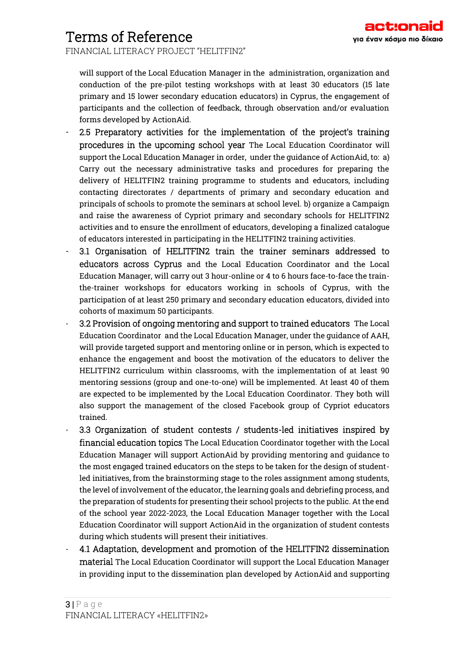FINANCIAL LITERACY PROJECT "HELITFIN2"

will support of the Local Education Manager in the administration, organization and conduction of the pre-pilot testing workshops with at least 30 educators (15 late primary and 15 lower secondary education educators) in Cyprus, the engagement of participants and the collection of feedback, through observation and/or evaluation forms developed by ActionAid.

- 2.5 Preparatory activities for the implementation of the project's training procedures in the upcoming school year The Local Education Coordinator will support the Local Education Manager in order, under the guidance of ActionAid, to: a) Carry out the necessary administrative tasks and procedures for preparing the delivery of HELITFIN2 training programme to students and educators, including contacting directorates / departments of primary and secondary education and principals of schools to promote the seminars at school level. b) organize a Campaign and raise the awareness of Cypriot primary and secondary schools for HELITFIN2 activities and to ensure the enrollment of educators, developing a finalized catalogue of educators interested in participating in the HELITFIN2 training activities.
- 3.1 Organisation of HELITFIN2 train the trainer seminars addressed to educators across Cyprus and the Local Education Coordinator and the Local Education Manager, will carry out 3 hour-online or 4 to 6 hours face-to-face the trainthe-trainer workshops for educators working in schools of Cyprus, with the participation of at least 250 primary and secondary education educators, divided into cohorts of maximum 50 participants.
- 3.2 Provision of ongoing mentoring and support to trained educators The Local Education Coordinator and the Local Education Manager, under the guidance of AAH, will provide targeted support and mentoring online or in person, which is expected to enhance the engagement and boost the motivation of the educators to deliver the HELITFIN2 curriculum within classrooms, with the implementation of at least 90 mentoring sessions (group and one-to-one) will be implemented. At least 40 of them are expected to be implemented by the Local Education Coordinator. They both will also support the management of the closed Facebook group of Cypriot educators trained.
- 3.3 Organization of student contests / students-led initiatives inspired by financial education topics The Local Education Coordinator together with the Local Education Manager will support ActionAid by providing mentoring and guidance to the most engaged trained educators on the steps to be taken for the design of studentled initiatives, from the brainstorming stage to the roles assignment among students, the level of involvement of the educator, the learning goals and debriefing process, and the preparation of students for presenting their school projects to the public. At the end of the school year 2022-2023, the Local Education Manager together with the Local Education Coordinator will support ActionAid in the organization of student contests during which students will present their initiatives.
- 4.1 Adaptation, development and promotion of the HELITFIN2 dissemination material The Local Education Coordinator will support the Local Education Manager in providing input to the dissemination plan developed by ActionAid and supporting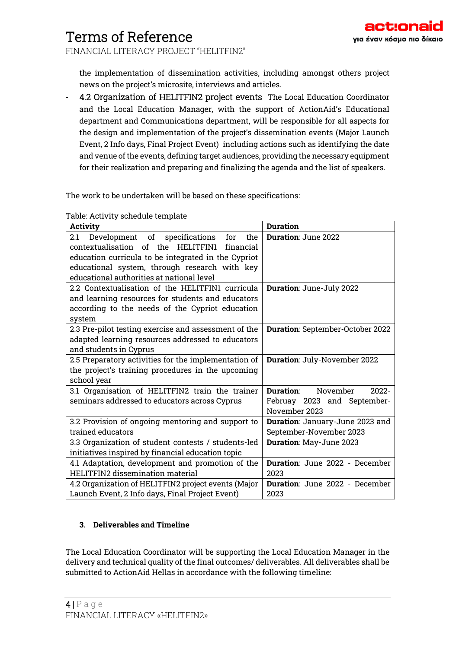FINANCIAL LITERACY PROJECT "HELITFIN2"

the implementation of dissemination activities, including amongst others project news on the project's microsite, interviews and articles.

- 4.2 Organization of HELITFIN2 project events The Local Education Coordinator and the Local Education Manager, with the support of ActionAid's Educational department and Communications department, will be responsible for all aspects for the design and implementation of the project's dissemination events (Major Launch Event, 2 Info days, Final Project Event) including actions such as identifying the date and venue of the events, defining target audiences, providing the necessary equipment for their realization and preparing and finalizing the agenda and the list of speakers.

The work to be undertaken will be based on these specifications:

Table: Activity schedule template

| Activity                                              | <b>Duration</b>                               |  |
|-------------------------------------------------------|-----------------------------------------------|--|
| Development of<br>specifications<br>the<br>for<br>2.1 | Duration: June 2022                           |  |
| contextualisation of the HELITFIN1<br>financial       |                                               |  |
| education curricula to be integrated in the Cypriot   |                                               |  |
| educational system, through research with key         |                                               |  |
| educational authorities at national level             |                                               |  |
| 2.2 Contextualisation of the HELITFIN1 curricula      | Duration: June-July 2022                      |  |
| and learning resources for students and educators     |                                               |  |
| according to the needs of the Cypriot education       |                                               |  |
| system                                                |                                               |  |
| 2.3 Pre-pilot testing exercise and assessment of the  | Duration: September-October 2022              |  |
| adapted learning resources addressed to educators     |                                               |  |
| and students in Cyprus                                |                                               |  |
| 2.5 Preparatory activities for the implementation of  | Duration: July-November 2022                  |  |
| the project's training procedures in the upcoming     |                                               |  |
| school year                                           |                                               |  |
| 3.1 Organisation of HELITFIN2 train the trainer       | Duration <sup>.</sup><br>November<br>$2022 -$ |  |
| seminars addressed to educators across Cyprus         | Februay 2023 and September-                   |  |
|                                                       | November 2023                                 |  |
| 3.2 Provision of ongoing mentoring and support to     | Duration: January-June 2023 and               |  |
| trained educators                                     | September-November 2023                       |  |
| 3.3 Organization of student contests / students-led   | Duration: May-June 2023                       |  |
| initiatives inspired by financial education topic     |                                               |  |
| 4.1 Adaptation, development and promotion of the      | <b>Duration:</b> June 2022 - December         |  |
| <b>HELITFIN2</b> dissemination material               | 2023                                          |  |
| 4.2 Organization of HELITFIN2 project events (Major   | <b>Duration:</b> June 2022 - December         |  |
| Launch Event, 2 Info days, Final Project Event)       | 2023                                          |  |

#### **3. Deliverables and Timeline**

The Local Education Coordinator will be supporting the Local Education Manager in the delivery and technical quality of the final outcomes/ deliverables. All deliverables shall be submitted to ActionAid Hellas in accordance with the following timeline: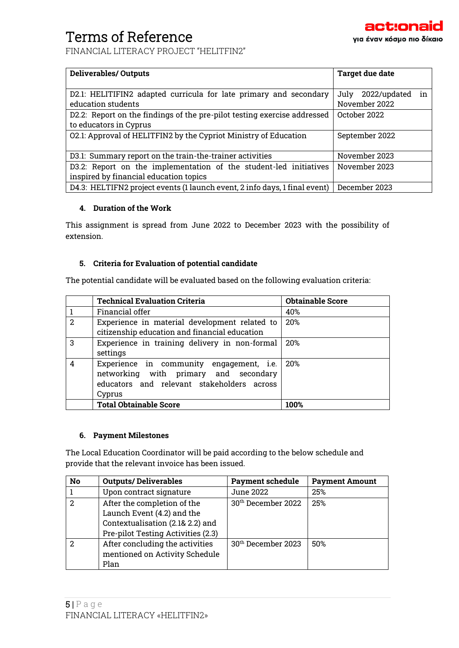FINANCIAL LITERACY PROJECT "HELITFIN2"

| <b>Deliverables/Outputs</b>                                                                                 | Target due date                             |
|-------------------------------------------------------------------------------------------------------------|---------------------------------------------|
| D2.1: HELITIFIN2 adapted curricula for late primary and secondary<br>education students                     | in<br>2022/updated<br>July<br>November 2022 |
| D2.2: Report on the findings of the pre-pilot testing exercise addressed<br>to educators in Cyprus          | October 2022                                |
| 02.1: Approval of HELITFIN2 by the Cypriot Ministry of Education                                            | September 2022                              |
| D3.1: Summary report on the train-the-trainer activities                                                    | November 2023                               |
| D3.2: Report on the implementation of the student-led initiatives<br>inspired by financial education topics | November 2023                               |
| D4.3: HELTIFN2 project events (1 launch event, 2 info days, 1 final event)                                  | December 2023                               |

### **4. Duration of the Work**

This assignment is spread from June 2022 to December 2023 with the possibility of extension.

## **5. Criteria for Evaluation of potential candidate**

The potential candidate will be evaluated based on the following evaluation criteria:

|                | <b>Technical Evaluation Criteria</b>                                                                                                      | <b>Obtainable Score</b> |
|----------------|-------------------------------------------------------------------------------------------------------------------------------------------|-------------------------|
|                | Financial offer                                                                                                                           | 40%                     |
| 2              | Experience in material development related to<br>citizenship education and financial education                                            | 20%                     |
| 3              | Experience in training delivery in non-formal<br>settings                                                                                 | 2.0%                    |
| $\overline{4}$ | Experience in community engagement, i.e.<br>networking with primary and secondary<br>educators and relevant stakeholders across<br>Cyprus | 20%                     |
|                | <b>Total Obtainable Score</b>                                                                                                             | 100%                    |

### **6. Payment Milestones**

The Local Education Coordinator will be paid according to the below schedule and provide that the relevant invoice has been issued.

| No | <b>Outputs/Deliverables</b>                                                                                                         | <b>Payment schedule</b>        | <b>Payment Amount</b> |
|----|-------------------------------------------------------------------------------------------------------------------------------------|--------------------------------|-----------------------|
|    | Upon contract signature                                                                                                             | June 2022                      | 25%                   |
| 2  | After the completion of the<br>Launch Event (4.2) and the<br>Contextualisation (2.1& 2.2) and<br>Pre-pilot Testing Activities (2.3) | 30 <sup>th</sup> December 2022 | 25%                   |
| 2  | After concluding the activities<br>mentioned on Activity Schedule<br>Plan                                                           | 30 <sup>th</sup> December 2023 | 50%                   |